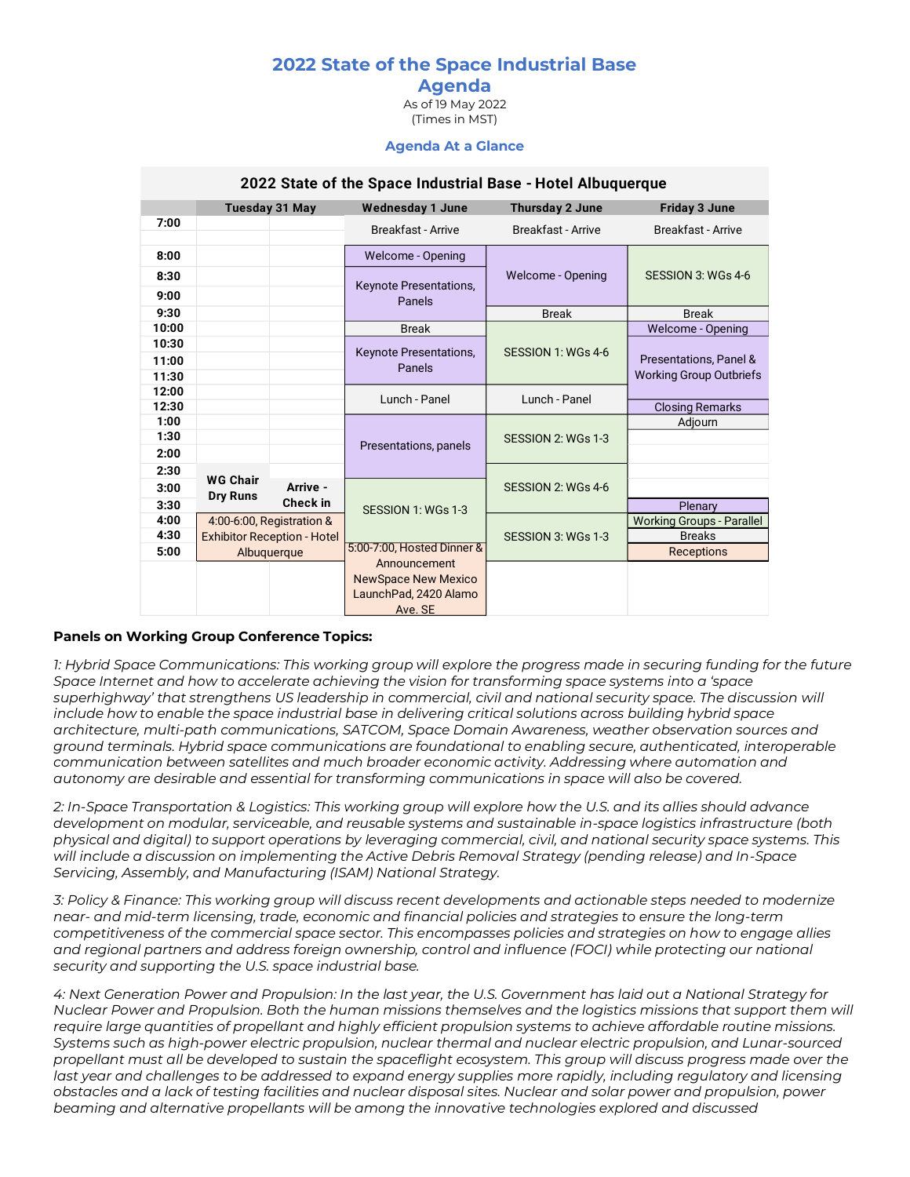# **2022 State of the Space Industrial Base**

# **Agenda**

As of 19 May 2022 (Times in MST)

#### **Agenda At a Glance**

|       | <b>Tuesday 31 May</b>              |          | <b>Wednesday 1 June</b>          | <b>Thursday 2 June</b>    | <b>Friday 3 June</b>             |
|-------|------------------------------------|----------|----------------------------------|---------------------------|----------------------------------|
| 7:00  |                                    |          | <b>Breakfast - Arrive</b>        | <b>Breakfast - Arrive</b> | <b>Breakfast - Arrive</b>        |
| 8:00  |                                    |          | <b>Welcome - Opening</b>         |                           |                                  |
| 8:30  |                                    |          | Keynote Presentations,<br>Panels | Welcome - Opening         | SESSION 3: WGs 4-6               |
| 9:00  |                                    |          |                                  |                           |                                  |
| 9:30  |                                    |          |                                  | <b>Break</b>              | <b>Break</b>                     |
| 10:00 |                                    |          | <b>Break</b>                     |                           | Welcome - Opening                |
| 10:30 |                                    |          | Keynote Presentations,           | SESSION 1: WGs 4-6        |                                  |
| 11:00 |                                    |          | Panels                           |                           | Presentations, Panel &           |
| 11:30 |                                    |          |                                  |                           | <b>Working Group Outbriefs</b>   |
| 12:00 |                                    |          | Lunch - Panel                    | Lunch - Panel             |                                  |
| 12:30 |                                    |          |                                  |                           | <b>Closing Remarks</b>           |
| 1:00  |                                    |          |                                  |                           | Adjourn                          |
| 1:30  |                                    |          | Presentations, panels            | SESSION 2: WGs 1-3        |                                  |
| 2:00  |                                    |          |                                  |                           |                                  |
| 2:30  | <b>WG Chair</b><br><b>Dry Runs</b> |          |                                  | SESSION 2: WGs 4-6        |                                  |
| 3:00  |                                    | Arrive - | SESSION 1: WGs 1-3               |                           |                                  |
| 3:30  |                                    | Check in |                                  |                           | Plenary                          |
| 4:00  | 4:00-6:00, Registration &          |          |                                  | SESSION 3: WGs 1-3        | <b>Working Groups - Parallel</b> |
| 4:30  | <b>Exhibitor Reception - Hotel</b> |          |                                  |                           | <b>Breaks</b>                    |
| 5:00  | Albuquerque                        |          | 5:00-7:00, Hosted Dinner &       |                           | <b>Receptions</b>                |
|       |                                    |          | Announcement                     |                           |                                  |
|       |                                    |          | <b>NewSpace New Mexico</b>       |                           |                                  |
|       |                                    |          | LaunchPad, 2420 Alamo            |                           |                                  |
|       |                                    |          | Ave. SE                          |                           |                                  |

#### **2022 State of the Space Industrial Base - Hotel Albuquerque**

#### **Panels on Working Group Conference Topics:**

*1: Hybrid Space Communications: This working group will explore the progress made in securing funding for the future Space Internet and how to accelerate achieving the vision for transforming space systems into a 'space superhighway' that strengthens US leadership in commercial, civil and national security space. The discussion will include how to enable the space industrial base in delivering critical solutions across building hybrid space architecture, multi-path communications, SATCOM, Space Domain Awareness, weather observation sources and ground terminals. Hybrid space communications are foundational to enabling secure, authenticated, interoperable communication between satellites and much broader economic activity. Addressing where automation and autonomy are desirable and essential for transforming communications in space will also be covered.*

*2: In-Space Transportation & Logistics: This working group will explore how the U.S. and its allies should advance development on modular, serviceable, and reusable systems and sustainable in-space logistics infrastructure (both physical and digital) to support operations by leveraging commercial, civil, and national security space systems. This will include a discussion on implementing the Active Debris Removal Strategy (pending release) and In-Space Servicing, Assembly, and Manufacturing (ISAM) National Strategy.*

*3: Policy & Finance: This working group will discuss recent developments and actionable steps needed to modernize near- and mid-term licensing, trade, economic and financial policies and strategies to ensure the long-term competitiveness of the commercial space sector. This encompasses policies and strategies on how to engage allies*  and regional partners and address foreign ownership, control and influence (FOCI) while protecting our national *security and supporting the U.S. space industrial base.* 

*4: Next Generation Power and Propulsion: In the last year, the U.S. Government has laid out a National Strategy for Nuclear Power and Propulsion. Both the human missions themselves and the logistics missions that support them will require large quantities of propellant and highly efficient propulsion systems to achieve affordable routine missions. Systems such as high-power electric propulsion, nuclear thermal and nuclear electric propulsion, and Lunar-sourced propellant must all be developed to sustain the spaceflight ecosystem. This group will discuss progress made over the last year and challenges to be addressed to expand energy supplies more rapidly, including regulatory and licensing obstacles and a lack of testing facilities and nuclear disposal sites. Nuclear and solar power and propulsion, power beaming and alternative propellants will be among the innovative technologies explored and discussed*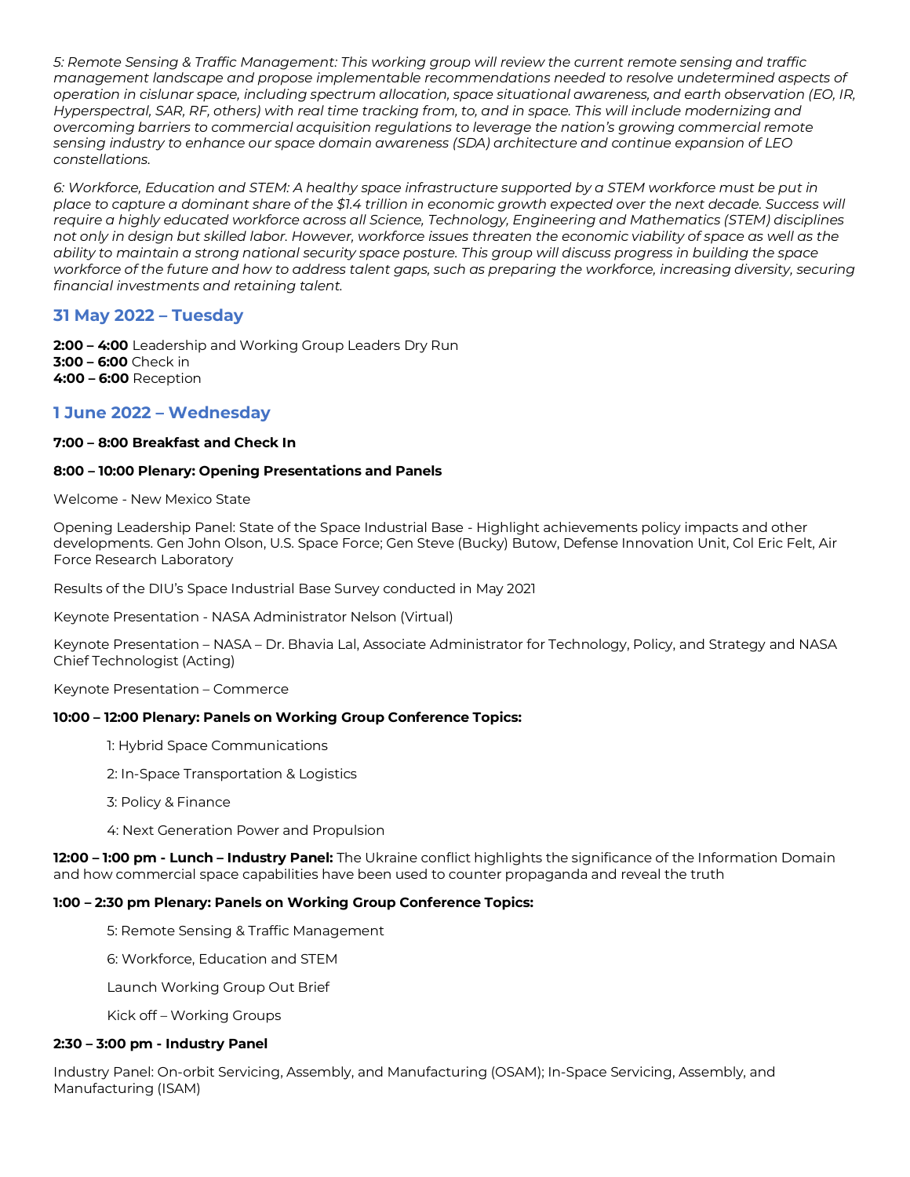*5: Remote Sensing & Traffic Management: This working group will review the current remote sensing and traffic management landscape and propose implementable recommendations needed to resolve undetermined aspects of operation in cislunar space, including spectrum allocation, space situational awareness, and earth observation (EO, IR, Hyperspectral, SAR, RF, others) with real time tracking from, to, and in space. This will include modernizing and overcoming barriers to commercial acquisition regulations to leverage the nation's growing commercial remote sensing industry to enhance our space domain awareness (SDA) architecture and continue expansion of LEO constellations.*

*6: Workforce, Education and STEM: A healthy space infrastructure supported by a STEM workforce must be put in place to capture a dominant share of the \$1.4 trillion in economic growth expected over the next decade. Success will require a highly educated workforce across all Science, Technology, Engineering and Mathematics (STEM) disciplines not only in design but skilled labor. However, workforce issues threaten the economic viability of space as well as the ability to maintain a strong national security space posture. This group will discuss progress in building the space workforce of the future and how to address talent gaps, such as preparing the workforce, increasing diversity, securing financial investments and retaining talent.*

# **31 May 2022 – Tuesday**

**2:00 – 4:00** Leadership and Working Group Leaders Dry Run **3:00 – 6:00** Check in **4:00 – 6:00** Reception

# **1 June 2022 – Wednesday**

## **7:00 – 8:00 Breakfast and Check In**

## **8:00 – 10:00 Plenary: Opening Presentations and Panels**

Welcome - New Mexico State

Opening Leadership Panel: State of the Space Industrial Base - Highlight achievements policy impacts and other developments. Gen John Olson, U.S. Space Force; Gen Steve (Bucky) Butow, Defense Innovation Unit, Col Eric Felt, Air Force Research Laboratory

Results of the DIU's Space Industrial Base Survey conducted in May 2021

Keynote Presentation - NASA Administrator Nelson (Virtual)

Keynote Presentation – NASA – Dr. Bhavia Lal, Associate Administrator for Technology, Policy, and Strategy and NASA Chief Technologist (Acting)

Keynote Presentation – Commerce

## **10:00 – 12:00 Plenary: Panels on Working Group Conference Topics:**

1: Hybrid Space Communications

2: In-Space Transportation & Logistics

3: Policy & Finance

4: Next Generation Power and Propulsion

**12:00 – 1:00 pm - Lunch – Industry Panel:** The Ukraine conflict highlights the significance of the Information Domain and how commercial space capabilities have been used to counter propaganda and reveal the truth

## **1:00 – 2:30 pm Plenary: Panels on Working Group Conference Topics:**

5: Remote Sensing & Traffic Management

6: Workforce, Education and STEM

Launch Working Group Out Brief

Kick off – Working Groups

#### **2:30 – 3:00 pm - Industry Panel**

Industry Panel: On-orbit Servicing, Assembly, and Manufacturing (OSAM); In-Space Servicing, Assembly, and Manufacturing (ISAM)